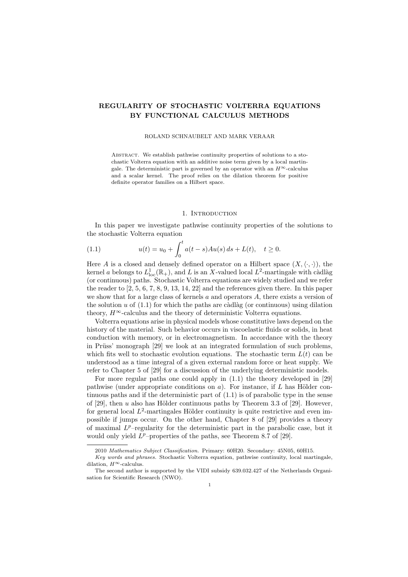# REGULARITY OF STOCHASTIC VOLTERRA EQUATIONS BY FUNCTIONAL CALCULUS METHODS

#### ROLAND SCHNAUBELT AND MARK VERAAR

Abstract. We establish pathwise continuity properties of solutions to a stochastic Volterra equation with an additive noise term given by a local martingale. The deterministic part is governed by an operator with an  $H^{\infty}$ -calculus and a scalar kernel. The proof relies on the dilation theorem for positive definite operator families on a Hilbert space.

# 1. INTRODUCTION

In this paper we investigate pathwise continuity properties of the solutions to the stochastic Volterra equation

(1.1) 
$$
u(t) = u_0 + \int_0^t a(t-s)Au(s) ds + L(t), \quad t \ge 0.
$$

Here A is a closed and densely defined operator on a Hilbert space  $(X, \langle \cdot, \cdot \rangle)$ , the kernel a belongs to  $L^1_{loc}(\mathbb{R}_+)$ , and L is an X-valued local  $L^2$ -martingale with càdlàg (or continuous) paths. Stochastic Volterra equations are widely studied and we refer the reader to  $[2, 5, 6, 7, 8, 9, 13, 14, 22]$  and the references given there. In this paper we show that for a large class of kernels  $a$  and operators  $A$ , there exists a version of the solution  $u$  of  $(1.1)$  for which the paths are càdlàg (or continuous) using dilation theory,  $H^{\infty}$ -calculus and the theory of deterministic Volterra equations.

Volterra equations arise in physical models whose constitutive laws depend on the history of the material. Such behavior occurs in viscoelastic fluids or solids, in heat conduction with memory, or in electromagnetism. In accordance with the theory in Prüss' monograph [29] we look at an integrated formulation of such problems, which fits well to stochastic evolution equations. The stochastic term  $L(t)$  can be understood as a time integral of a given external random force or heat supply. We refer to Chapter 5 of [29] for a discussion of the underlying deterministic models.

For more regular paths one could apply in (1.1) the theory developed in [29] pathwise (under appropriate conditions on a). For instance, if  $L$  has Hölder continuous paths and if the deterministic part of (1.1) is of parabolic type in the sense of [29], then u also has Hölder continuous paths by Theorem 3.3 of [29]. However, for general local  $L^2$ -martingales Hölder continuity is quite restrictive and even impossible if jumps occur. On the other hand, Chapter 8 of [29] provides a theory of maximal  $L^p$ -regularity for the deterministic part in the parabolic case, but it would only yield  $L^p$ -properties of the paths, see Theorem 8.7 of [29].

<sup>2010</sup> Mathematics Subject Classification. Primary: 60H20. Secondary: 45N05, 60H15.

Key words and phrases. Stochastic Volterra equation, pathwise continuity, local martingale, dilation,  $H^{\infty}$ -calculus.

The second author is supported by the VIDI subsidy 639.032.427 of the Netherlands Organisation for Scientific Research (NWO).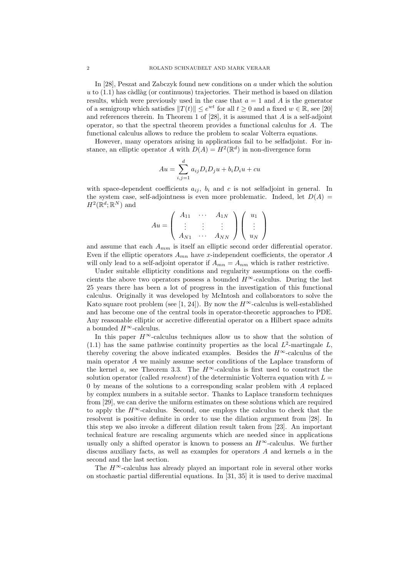In [28], Peszat and Zabczyk found new conditions on a under which the solution  $u$  to  $(1.1)$  has càdlàg (or continuous) trajectories. Their method is based on dilation results, which were previously used in the case that  $a = 1$  and A is the generator of a semigroup which satisfies  $||T(t)|| \leq e^{wt}$  for all  $t \geq 0$  and a fixed  $w \in \mathbb{R}$ , see [20] and references therein. In Theorem 1 of  $[28]$ , it is assumed that A is a self-adjoint operator, so that the spectral theorem provides a functional calculus for A. The functional calculus allows to reduce the problem to scalar Volterra equations.

However, many operators arising in applications fail to be selfadjoint. For instance, an elliptic operator A with  $D(A) = H^2(\mathbb{R}^d)$  in non-divergence form

$$
Au = \sum_{i,j=1}^{d} a_{ij}D_iD_ju + b_iD_iu + cu
$$

with space-dependent coefficients  $a_{ij}$ ,  $b_i$  and c is not selfadjoint in general. In the system case, self-adjointness is even more problematic. Indeed, let  $D(A)$  $H^2(\mathbb{R}^d;\mathbb{R}^N)$  and

$$
Au = \begin{pmatrix} A_{11} & \cdots & A_{1N} \\ \vdots & \vdots & \vdots \\ A_{N1} & \cdots & A_{NN} \end{pmatrix} \begin{pmatrix} u_1 \\ \vdots \\ u_N \end{pmatrix}
$$

and assume that each  $A_{mm}$  is itself an elliptic second order differential operator. Even if the elliptic operators  $A_{mn}$  have x-independent coefficients, the operator A will only lead to a self-adjoint operator if  $A_{mn} = A_{nm}$  which is rather restrictive.

Under suitable ellipticity conditions and regularity assumptions on the coefficients the above two operators possess a bounded  $H^{\infty}$ -calculus. During the last 25 years there has been a lot of progress in the investigation of this functional calculus. Originally it was developed by McIntosh and collaborators to solve the Kato square root problem (see [1, 24]). By now the  $H^{\infty}$ -calculus is well-established and has become one of the central tools in operator-theoretic approaches to PDE. Any reasonable elliptic or accretive differential operator on a Hilbert space admits a bounded  $H^{\infty}$ -calculus.

In this paper  $H^{\infty}$ -calculus techniques allow us to show that the solution of  $(1.1)$  has the same pathwise continuity properties as the local  $L^2$ -martingale L, thereby covering the above indicated examples. Besides the  $H^{\infty}$ -calculus of the main operator A we mainly assume sector conditions of the Laplace transform of the kernel a, see Theorem 3.3. The  $H^{\infty}$ -calculus is first used to construct the solution operator (called *resolvent*) of the deterministic Volterra equation with  $L =$ 0 by means of the solutions to a corresponding scalar problem with A replaced by complex numbers in a suitable sector. Thanks to Laplace transform techniques from [29], we can derive the uniform estimates on these solutions which are required to apply the  $H^{\infty}$ -calculus. Second, one employs the calculus to check that the resolvent is positive definite in order to use the dilation argument from [28]. In this step we also invoke a different dilation result taken from [23]. An important technical feature are rescaling arguments which are needed since in applications usually only a shifted operator is known to possess an  $H^{\infty}$ -calculus. We further discuss auxiliary facts, as well as examples for operators  $A$  and kernels  $\alpha$  in the second and the last section.

The  $H^{\infty}$ -calculus has already played an important role in several other works on stochastic partial differential equations. In [31, 35] it is used to derive maximal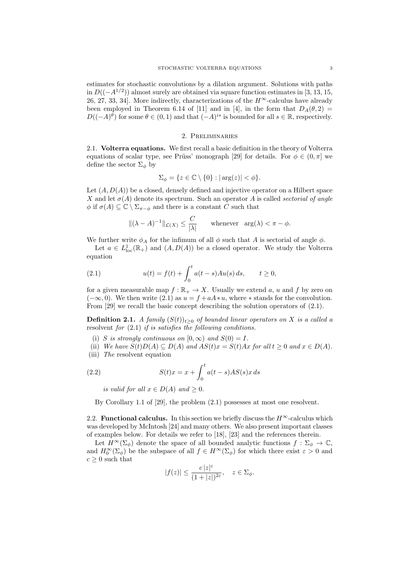estimates for stochastic convolutions by a dilation argument. Solutions with paths in  $D((-A^{1/2}))$  almost surely are obtained via square function estimates in [3, 13, 15, 26, 27, 33, 34]. More indirectly, characterizations of the  $H^{\infty}$ -calculus have already been employed in Theorem 6.14 of [11] and in [4], in the form that  $D_A(\theta, 2) =$  $D((-A)^{\theta})$  for some  $\theta \in (0,1)$  and that  $(-A)^{is}$  is bounded for all  $s \in \mathbb{R}$ , respectively.

#### 2. Preliminaries

2.1. Volterra equations. We first recall a basic definition in the theory of Volterra equations of scalar type, see Prüss' monograph [29] for details. For  $\phi \in (0, \pi]$  we define the sector  $\Sigma_{\phi}$  by

$$
\Sigma_{\phi} = \{ z \in \mathbb{C} \setminus \{0\} : |\arg(z)| < \phi \}.
$$

Let  $(A, D(A))$  be a closed, densely defined and injective operator on a Hilbert space X and let  $\sigma(A)$  denote its spectrum. Such an operator A is called sectorial of angle  $\phi$  if  $\sigma(A) \subseteq \mathbb{C} \setminus \Sigma_{\pi-\phi}$  and there is a constant C such that

$$
\|(\lambda - A)^{-1}\|_{\mathcal{L}(X)} \le \frac{C}{|\lambda|} \quad \text{whenever } \arg(\lambda) < \pi - \phi.
$$

We further write  $\phi_A$  for the infimum of all  $\phi$  such that A is sectorial of angle  $\phi$ .

Let  $a \in L^1_{loc}(\mathbb{R}_+)$  and  $(A, D(A))$  be a closed operator. We study the Volterra equation

(2.1) 
$$
u(t) = f(t) + \int_0^t a(t-s)Au(s) ds, \qquad t \ge 0,
$$

for a given measurable map  $f : \mathbb{R}_+ \to X$ . Usually we extend a, u and f by zero on  $(-\infty, 0)$ . We then write (2.1) as  $u = f + aA*u$ , where  $*$  stands for the convolution. From [29] we recall the basic concept describing the solution operators of  $(2.1)$ .

**Definition 2.1.** A family  $(S(t))_{t>0}$  of bounded linear operators on X is a called a resolvent for  $(2.1)$  if is satisfies the following conditions.

(i) S is strongly continuous on  $[0, \infty)$  and  $S(0) = I$ .

(ii) We have  $S(t)D(A) \subseteq D(A)$  and  $AS(t)x = S(t)Ax$  for all  $t \ge 0$  and  $x \in D(A)$ .  $(iii)$  The resolvent equation

(2.2) 
$$
S(t)x = x + \int_0^t a(t-s)AS(s)x ds
$$

is valid for all  $x \in D(A)$  and  $\geq 0$ .

By Corollary 1.1 of [29], the problem (2.1) possesses at most one resolvent.

2.2. **Functional calculus.** In this section we briefly discuss the  $H^{\infty}$ -calculus which was developed by McIntosh [24] and many others. We also present important classes of examples below. For details we refer to [18], [23] and the references therein.

Let  $H^{\infty}(\Sigma_{\phi})$  denote the space of all bounded analytic functions  $f : \Sigma_{\phi} \to \mathbb{C}$ , and  $H_0^{\infty}(\Sigma_{\phi})$  be the subspace of all  $f \in H^{\infty}(\Sigma_{\phi})$  for which there exist  $\varepsilon > 0$  and  $c \geq 0$  such that

$$
|f(z)| \le \frac{c\,|z|^{\varepsilon}}{(1+|z|)^{2\varepsilon}}, \quad z \in \Sigma_{\phi}.
$$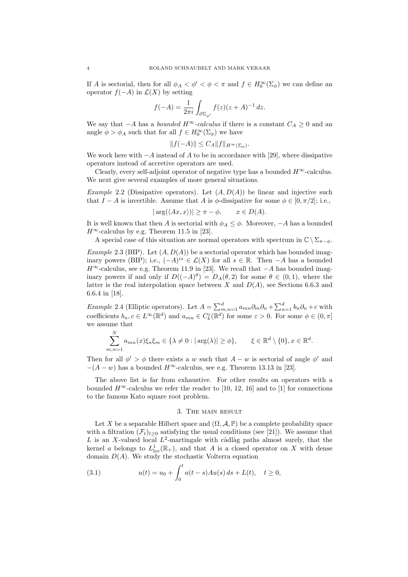If A is sectorial, then for all  $\phi_A < \phi' < \phi < \pi$  and  $f \in H_0^{\infty}(\Sigma_{\phi})$  we can define an operator  $f(-A)$  in  $\mathcal{L}(X)$  by setting

$$
f(-A) = \frac{1}{2\pi i} \int_{\partial \Sigma_{\phi'}} f(z)(z+A)^{-1} dz.
$$

We say that  $-A$  has a *bounded H*<sup>∞</sup>-calculus if there is a constant  $C_A \geq 0$  and an angle  $\phi > \phi_A$  such that for all  $f \in H_0^{\infty}(\Sigma_{\phi})$  we have

$$
||f(-A)|| \le C_A ||f||_{H^{\infty}(\Sigma_{\phi})}.
$$

We work here with  $-A$  instead of A to be in accordance with [29], where dissipative operators instead of accretive operators are used.

Clearly, every self-adjoint operator of negative type has a bounded  $H^{\infty}$ -calculus. We next give several examples of more general situations.

*Example 2.2* (Dissipative operators). Let  $(A, D(A))$  be linear and injective such that  $I - A$  is invertible. Assume that A is  $\phi$ -dissipative for some  $\phi \in [0, \pi/2]$ ; i.e.,

$$
|\arg(\langle Ax, x \rangle)| \geq \pi - \phi, \quad x \in D(A).
$$

It is well known that then A is sectorial with  $\phi_A \leq \phi$ . Moreover,  $-A$  has a bounded  $H^{\infty}$ -calculus by e.g. Theorem 11.5 in [23].

A special case of this situation are normal operators with spectrum in  $\mathbb{C} \setminus \Sigma_{\pi-\phi}$ .

Example 2.3 (BIP). Let  $(A, D(A))$  be a sectorial operator which has bounded imaginary powers (BIP); i.e.,  $(-A)^{is} \in \mathcal{L}(X)$  for all  $s \in \mathbb{R}$ . Then  $-A$  has a bounded  $H^{\infty}$ -calculus, see e.g. Theorem 11.9 in [23]. We recall that  $-A$  has bounded imaginary powers if and only if  $D((-A)^{\theta}) = D_A(\theta, 2)$  for some  $\theta \in (0, 1)$ , where the latter is the real interpolation space between  $X$  and  $D(A)$ , see Sections 6.6.3 and 6.6.4 in [18].

Example 2.4 (Elliptic operators). Let  $A = \sum_{m,n=1}^{d} a_{mn} \partial_m \partial_n + \sum_{n=1}^{d} b_n \partial_n + c$  with coefficients  $b_n, c \in L^{\infty}(\mathbb{R}^d)$  and  $a_{mn} \in C_b^{\varepsilon}(\mathbb{R}^d)$  for some  $\varepsilon > 0$ . For some  $\phi \in (0, \pi]$ we assume that

$$
\sum_{m,n=1}^N a_{mn}(x)\xi_n\xi_m \in \{\lambda \neq 0 : |\arg(\lambda)| \ge \phi\}, \qquad \xi \in \mathbb{R}^d \setminus \{0\}, x \in \mathbb{R}^d.
$$

Then for all  $\phi' > \phi$  there exists a w such that  $A - w$  is sectorial of angle  $\phi'$  and  $-(A - w)$  has a bounded  $H^{\infty}$ -calculus, see e.g. Theorem 13.13 in [23].

The above list is far from exhaustive. For other results on operators with a bounded  $H^{\infty}$ -calculus we refer the reader to [10, 12, 16] and to [1] for connections to the famous Kato square root problem.

## 3. The main result

Let X be a separable Hilbert space and  $(\Omega, \mathcal{A}, \mathbb{P})$  be a complete probability space with a filtration  $(\mathcal{F}_t)_{t>0}$  satisfying the usual conditions (see [21]). We assume that L is an X-valued local  $L^2$ -martingale with càdlàg paths almost surely, that the kernel a belongs to  $L^1_{loc}(\mathbb{R}_+)$ , and that A is a closed operator on X with dense domain  $D(A)$ . We study the stochastic Volterra equation

(3.1) 
$$
u(t) = u_0 + \int_0^t a(t-s)Au(s) ds + L(t), \quad t \ge 0,
$$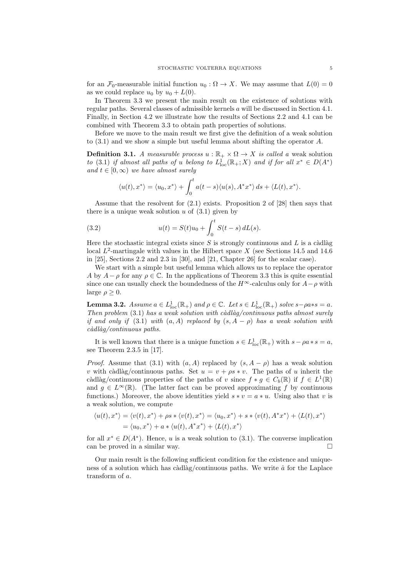for an  $\mathcal{F}_0$ -measurable initial function  $u_0 : \Omega \to X$ . We may assume that  $L(0) = 0$ as we could replace  $u_0$  by  $u_0 + L(0)$ .

In Theorem 3.3 we present the main result on the existence of solutions with regular paths. Several classes of admissible kernels a will be discussed in Section 4.1. Finally, in Section 4.2 we illustrate how the results of Sections 2.2 and 4.1 can be combined with Theorem 3.3 to obtain path properties of solutions.

Before we move to the main result we first give the definition of a weak solution to (3.1) and we show a simple but useful lemma about shifting the operator A.

**Definition 3.1.** A measurable process  $u : \mathbb{R}_+ \times \Omega \to X$  is called a weak solution to (3.1) if almost all paths of u belong to  $L^1_{\text{loc}}(\mathbb{R}_+;X)$  and if for all  $x^* \in D(A^*)$ and  $t \in [0, \infty)$  we have almost surely

$$
\langle u(t), x^* \rangle = \langle u_0, x^* \rangle + \int_0^t a(t-s) \langle u(s), A^*x^* \rangle ds + \langle L(t), x^* \rangle.
$$

Assume that the resolvent for (2.1) exists. Proposition 2 of [28] then says that there is a unique weak solution  $u$  of  $(3.1)$  given by

(3.2) 
$$
u(t) = S(t)u_0 + \int_0^t S(t-s) dL(s).
$$

Here the stochastic integral exists since  $S$  is strongly continuous and  $L$  is a càdlàg local  $L^2$ -martingale with values in the Hilbert space X (see Sections 14.5 and 14.6) in [25], Sections 2.2 and 2.3 in [30], and [21, Chapter 26] for the scalar case).

We start with a simple but useful lemma which allows us to replace the operator A by  $A - \rho$  for any  $\rho \in \mathbb{C}$ . In the applications of Theorem 3.3 this is quite essential since one can usually check the boundedness of the  $H^{\infty}$ -calculus only for  $A-\rho$  with large  $\rho \geq 0$ .

**Lemma 3.2.** Assume  $a \in L^1_{loc}(\mathbb{R}_+)$  and  $\rho \in \mathbb{C}$ . Let  $s \in L^1_{loc}(\mathbb{R}_+)$  solve  $s-\rho a*s = a$ . Then problem  $(3.1)$  has a weak solution with càdlàg/continuous paths almost surely if and only if (3.1) with  $(a, A)$  replaced by  $(s, A - \rho)$  has a weak solution with  $c\`{a}dl\`{a}g/continuous$  paths.

It is well known that there is a unique function  $s \in L^1_{loc}(\mathbb{R}_+)$  with  $s - \rho a * s = a$ , see Theorem 2.3.5 in [17].

*Proof.* Assume that (3.1) with  $(a, A)$  replaced by  $(s, A - \rho)$  has a weak solution v with càdlàg/continuous paths. Set  $u = v + \rho s * v$ . The paths of u inherit the càdlàg/continuous properties of the paths of v since  $f * g \in C_b(\mathbb{R})$  if  $f \in L^1(\mathbb{R})$ and  $q \in L^{\infty}(\mathbb{R})$ . (The latter fact can be proved approximating f by continuous functions.) Moreover, the above identities yield  $s * v = a * u$ . Using also that v is a weak solution, we compute

$$
\langle u(t), x^* \rangle = \langle v(t), x^* \rangle + \rho s * \langle v(t), x^* \rangle = \langle u_0, x^* \rangle + s * \langle v(t), A^* x^* \rangle + \langle L(t), x^* \rangle
$$
  
=  $\langle u_0, x^* \rangle + a * \langle u(t), A^* x^* \rangle + \langle L(t), x^* \rangle$ 

for all  $x^* \in D(A^*)$ . Hence, u is a weak solution to (3.1). The converse implication can be proved in a similar way.  $\Box$ 

Our main result is the following sufficient condition for the existence and uniqueness of a solution which has càdlàg/continuous paths. We write  $\hat{a}$  for the Laplace transform of a.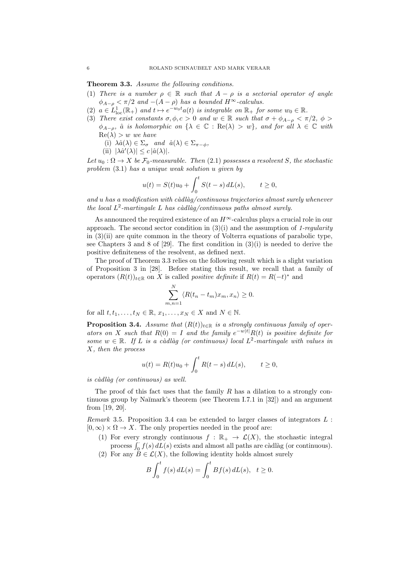Theorem 3.3. Assume the following conditions.

- (1) There is a number  $\rho \in \mathbb{R}$  such that  $A \rho$  is a sectorial operator of angle  $\phi_{A-\rho} < \pi/2$  and  $-(A-\rho)$  has a bounded  $H^{\infty}$ -calculus.
- (2)  $a \in L^1_{loc}(\mathbb{R}_+)$  and  $t \mapsto e^{-w_0t}a(t)$  is integrable on  $\mathbb{R}_+$  for some  $w_0 \in \mathbb{R}$ .
- (3) There exist constants  $\sigma, \phi, c > 0$  and  $w \in \mathbb{R}$  such that  $\sigma + \phi_{A-\rho} < \pi/2$ ,  $\phi >$  $\phi_{A-\rho}$ ,  $\hat{a}$  is holomorphic on  $\{\lambda \in \mathbb{C} : \text{Re}(\lambda) > w\}$ , and for all  $\lambda \in \mathbb{C}$  with  $\text{Re}(\lambda) > w$  we have
	- (i)  $\lambda \hat{a}(\lambda) \in \Sigma_{\sigma}$  and  $\hat{a}(\lambda) \in \Sigma_{\pi-\phi}$ ,
	- (ii)  $|\lambda \hat{a}'(\lambda)| \leq c |\hat{a}(\lambda)|$ .

Let  $u_0 : \Omega \to X$  be  $\mathcal{F}_0$ -measurable. Then (2.1) possesses a resolvent S, the stochastic problem (3.1) has a unique weak solution u given by

$$
u(t) = S(t)u_0 + \int_0^t S(t - s) dL(s), \qquad t \ge 0,
$$

and  $u$  has a modification with càdlàg/continuous trajectories almost surely whenever the local  $L^2$ -martingale L has càdlàg/continuous paths almost surely.

As announced the required existence of an  $H^{\infty}$ -calculus plays a crucial role in our approach. The second sector condition in  $(3)(i)$  and the assumption of 1-regularity in  $(3)(ii)$  are quite common in the theory of Volterra equations of parabolic type, see Chapters 3 and 8 of [29]. The first condition in  $(3)(i)$  is needed to derive the positive definiteness of the resolvent, as defined next.

The proof of Theorem 3.3 relies on the following result which is a slight variation of Proposition 3 in [28]. Before stating this result, we recall that a family of operators  $(R(t))_{t\in\mathbb{R}}$  on X is called *positive definite* if  $R(t) = R(-t)^*$  and

$$
\sum_{m,n=1}^{N} \langle R(t_n - t_m)x_m, x_n \rangle \ge 0.
$$

for all  $t, t_1, \ldots, t_N \in \mathbb{R}, x_1, \ldots, x_N \in X$  and  $N \in \mathbb{N}$ .

**Proposition 3.4.** Assume that  $(R(t))_{t\in\mathbb{R}}$  is a strongly continuous family of operators on X such that  $R(0) = I$  and the family  $e^{-w|t|} R(t)$  is positive definite for some  $w \in \mathbb{R}$ . If L is a càdlàg (or continuous) local  $L^2$ -martingale with values in X, then the process

$$
u(t) = R(t)u_0 + \int_0^t R(t-s) dL(s), \qquad t \ge 0,
$$

is càdlàg (or continuous) as well.

The proof of this fact uses that the family  $R$  has a dilation to a strongly continuous group by Naĭmark's theorem (see Theorem I.7.1 in [32]) and an argument from [19, 20].

Remark 3.5. Proposition 3.4 can be extended to larger classes of integrators  $L$ :  $[0, \infty) \times \Omega \to X$ . The only properties needed in the proof are:

- (1) For every strongly continuous  $f : \mathbb{R}_+ \to \mathcal{L}(X)$ , the stochastic integral process  $\int_0^{\cdot} f(s) dL(s)$  exists and almost all paths are càdlàg (or continuous).
- (2) For any  $B \in \mathcal{L}(X)$ , the following identity holds almost surely

$$
B\int_0^t f(s) dL(s) = \int_0^t Bf(s) dL(s), \ \ t \ge 0.
$$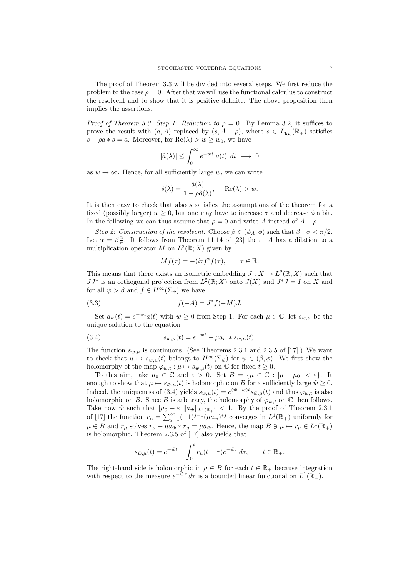The proof of Theorem 3.3 will be divided into several steps. We first reduce the problem to the case  $\rho = 0$ . After that we will use the functional calculus to construct the resolvent and to show that it is positive definite. The above proposition then implies the assertions.

*Proof of Theorem 3.3. Step 1: Reduction to*  $\rho = 0$ *. By Lemma 3.2, it suffices to* prove the result with  $(a, A)$  replaced by  $(s, A - \rho)$ , where  $s \in L^1_{loc}(\mathbb{R}_+)$  satisfies  $s - \rho a * s = a$ . Moreover, for  $\text{Re}(\lambda) > w \geq w_0$ , we have

$$
|\widehat{a}(\lambda)| \leq \int_0^\infty e^{-wt} |a(t)| \, dt \; \longrightarrow \; 0
$$

as  $w \to \infty$ . Hence, for all sufficiently large w, we can write

$$
\hat{s}(\lambda) = \frac{\hat{a}(\lambda)}{1 - \rho \hat{a}(\lambda)}, \quad \text{Re}(\lambda) > w.
$$

It is then easy to check that also s satisfies the assumptions of the theorem for a fixed (possibly larger)  $w \geq 0$ , but one may have to increase  $\sigma$  and decrease  $\phi$  a bit. In the following we can thus assume that  $\rho = 0$  and write A instead of  $A - \rho$ .

Step 2: Construction of the resolvent. Choose  $\beta \in (\phi_A, \phi)$  such that  $\beta + \sigma < \pi/2$ . Let  $\alpha = \beta_{\pi}^2$ . It follows from Theorem 11.14 of [23] that  $-A$  has a dilation to a multiplication operator M on  $L^2(\mathbb{R};X)$  given by

$$
Mf(\tau) = -(i\tau)^{\alpha} f(\tau), \qquad \tau \in \mathbb{R}.
$$

This means that there exists an isometric embedding  $J: X \to L^2(\mathbb{R}; X)$  such that  $JJ^*$  is an orthogonal projection from  $L^2(\mathbb{R};X)$  onto  $J(X)$  and  $J^*J = I$  on X and for all  $\psi > \beta$  and  $f \in H^{\infty}(\Sigma_{\psi})$  we have

(3.3) 
$$
f(-A) = J^* f(-M) J.
$$

Set  $a_w(t) = e^{-wt} a(t)$  with  $w \ge 0$  from Step 1. For each  $\mu \in \mathbb{C}$ , let  $s_{w,\mu}$  be the unique solution to the equation

(3.4) 
$$
s_{w,\mu}(t) = e^{-wt} - \mu a_w * s_{w,\mu}(t).
$$

The function  $s_{w,\mu}$  is continuous. (See Theorems 2.3.1 and 2.3.5 of [17].) We want to check that  $\mu \mapsto s_{w,\mu}(t)$  belongs to  $H^{\infty}(\Sigma_{\psi})$  for  $\psi \in (\beta, \phi)$ . We first show the holomorphy of the map  $\varphi_{w,t} : \mu \mapsto s_{w,\mu}(t)$  on  $\mathbb C$  for fixed  $t \geq 0$ .

To this aim, take  $\mu_0 \in \mathbb{C}$  and  $\varepsilon > 0$ . Set  $B = {\mu \in \mathbb{C} : |\mu - \mu_0| < \varepsilon}.$  It enough to show that  $\mu \mapsto s_{\tilde{w},\mu}(t)$  is holomorphic on B for a sufficiently large  $\tilde{w} \geq 0$ . Indeed, the uniqueness of (3.4) yields  $s_{w,\mu}(t) = e^{(\tilde{w}-w)t} s_{\tilde{w},\mu}(t)$  and thus  $\varphi_{w,t}$  is also holomorphic on B. Since B is arbitrary, the holomorphy of  $\varphi_{w,t}$  on  $\mathbb C$  then follows. Take now  $\tilde{w}$  such that  $|\mu_0 + \varepsilon| \|a_{\tilde{w}}\|_{L^1(\mathbb{R}_+)} < 1$ . By the proof of Theorem 2.3.1 of [17] the function  $r_{\mu} = \sum_{j=1}^{\infty} (-1)^{j-1} (\mu a_{\tilde{w}})^{*j}$  converges in  $L^1(\mathbb{R}_+)$  uniformly for  $\mu \in B$  and  $r_{\mu}$  solves  $r_{\mu} + \mu a_{\tilde{w}} * r_{\mu} = \mu a_{\tilde{w}}$ . Hence, the map  $B \ni \mu \mapsto r_{\mu} \in L^1(\mathbb{R}_+)$ is holomorphic. Theorem 2.3.5 of [17] also yields that

$$
s_{\tilde{w},\mu}(t) = e^{-\tilde{w}t} - \int_0^t r_\mu(t-\tau)e^{-\tilde{w}\tau} d\tau, \qquad t \in \mathbb{R}_+.
$$

The right-hand side is holomorphic in  $\mu \in B$  for each  $t \in \mathbb{R}_+$  because integration with respect to the measure  $e^{-\tilde{w}\tau} d\tau$  is a bounded linear functional on  $L^1(\mathbb{R}_+)$ .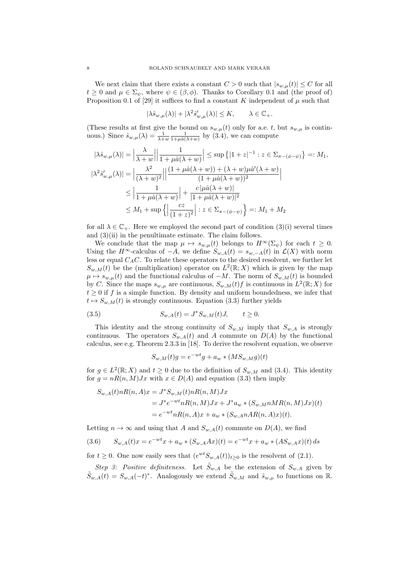We next claim that there exists a constant  $C > 0$  such that  $|s_{w,\mu}(t)| \leq C$  for all  $t \geq 0$  and  $\mu \in \Sigma_{\psi}$ , where  $\psi \in (\beta, \phi)$ . Thanks to Corollary 0.1 and (the proof of) Proposition 0.1 of [29] it suffices to find a constant K independent of  $\mu$  such that

$$
|\lambda \hat s_{w,\mu}(\lambda)| + |\lambda^2 \hat s_{w,\mu}'(\lambda)| \leq K, \qquad \lambda \in \mathbb{C}_+.
$$

(These results at first give the bound on  $s_{w,\mu}(t)$  only for a.e. t, but  $s_{w,\mu}$  is continuous.) Since  $\hat{s}_{w,\mu}(\lambda) = \frac{1}{\lambda+w} \frac{1}{1+\mu \hat{a}(\lambda+w)}$  by (3.4), we can compute

$$
|\lambda \hat{s}_{w,\mu}(\lambda)| = \left| \frac{\lambda}{\lambda + w} \right| \left| \frac{1}{1 + \mu \hat{a}(\lambda + w)} \right| \le \sup \left\{ |1 + z|^{-1} : z \in \Sigma_{\pi - (\phi - \psi)} \right\} =: M_1,
$$
  

$$
|\lambda^2 \hat{s}'_{w,\mu}(\lambda)| = \left| \frac{\lambda^2}{(\lambda + w)^2} \right| \left| \frac{(1 + \mu \hat{a}(\lambda + w)) + (\lambda + w)\mu \hat{a}'(\lambda + w)}{(1 + \mu \hat{a}(\lambda + w))^2} \right|
$$
  

$$
\le \left| \frac{1}{1 + \mu \hat{a}(\lambda + w)} \right| + \frac{c |\mu \hat{a}(\lambda + w)|}{|1 + \mu \hat{a}(\lambda + w)|^2}
$$
  

$$
\le M_1 + \sup \left\{ \left| \frac{cz}{(1 + z)^2} \right| : z \in \Sigma_{\pi - (\phi - \psi)} \right\} =: M_1 + M_2
$$

for all  $\lambda \in \mathbb{C}_+$ . Here we employed the second part of condition (3)(i) several times and  $(3)(ii)$  in the penultimate estimate. The claim follows.

We conclude that the map  $\mu \mapsto s_{w,\mu}(t)$  belongs to  $H^{\infty}(\Sigma_{\psi})$  for each  $t \geq 0$ . Using the  $H^{\infty}$ -calculus of  $-A$ , we define  $S_{w,A}(t) = s_{w,-A}(t)$  in  $\mathcal{L}(X)$  with norm less or equal  $C_A$ C. To relate these operators to the desired resolvent, we further let  $S_{w,M}(t)$  be the (multiplication) operator on  $L^2(\mathbb{R};X)$  which is given by the map  $\mu \mapsto s_{w,\mu}(t)$  and the functional calculus of  $-M$ . The norm of  $S_{w,M}(t)$  is bounded by C. Since the maps  $s_{w,\mu}$  are continuous,  $S_{w,M}(t)f$  is continuous in  $L^2(\mathbb{R};X)$  for  $t \geq 0$  if f is a simple function. By density and uniform boundedness, we infer that  $t \mapsto S_{w,M}(t)$  is strongly continuous. Equation (3.3) further yields

(3.5) 
$$
S_{w,A}(t) = J^* S_{w,M}(t) J, \qquad t \ge 0.
$$

This identity and the strong continuity of  $S_{w,M}$  imply that  $S_{w,A}$  is strongly continuous. The operators  $S_{w,A}(t)$  and A commute on  $D(A)$  by the functional calculus, see e.g. Theorem 2.3.3 in [18]. To derive the resolvent equation, we observe

$$
S_{w,M}(t)g = e^{-wt}g + a_w * (MS_{w,M}g)(t)
$$

for  $g \in L^2(\mathbb{R};X)$  and  $t \geq 0$  due to the definition of  $S_{w,M}$  and (3.4). This identity for  $g = nR(n, M)Jx$  with  $x \in D(A)$  and equation (3.3) then imply

$$
S_{w,A}(t)nR(n,A)x = J^*S_{w,M}(t)nR(n,M)Jx
$$
  
=  $J^*e^{-wt}nR(n,M)Jx + J^*a_w * (S_{w,M}nMR(n,M)Jx)(t)$   
=  $e^{-wt}nR(n,A)x + a_w * (S_{w,A}nAR(n,A)x)(t).$ 

Letting  $n \to \infty$  and using that A and  $S_{w,A}(t)$  commute on  $D(A)$ , we find

$$
(3.6) \qquad S_{w,A}(t)x = e^{-wt}x + a_w * (S_{w,A}Ax)(t) = e^{-wt}x + a_w * (AS_{w,A}x)(t) ds
$$

for  $t \geq 0$ . One now easily sees that  $(e^{wt}S_{w,A}(t))_{t\geq 0}$  is the resolvent of (2.1).

Step 3: Positive definiteness. Let  $\tilde{S}_{w,A}$  be the extension of  $S_{w,A}$  given by  $\tilde{S}_{w,A}(t) = S_{w,A}(-t)^*$ . Analogously we extend  $\tilde{S}_{w,M}$  and  $\tilde{s}_{w,\mu}$  to functions on R.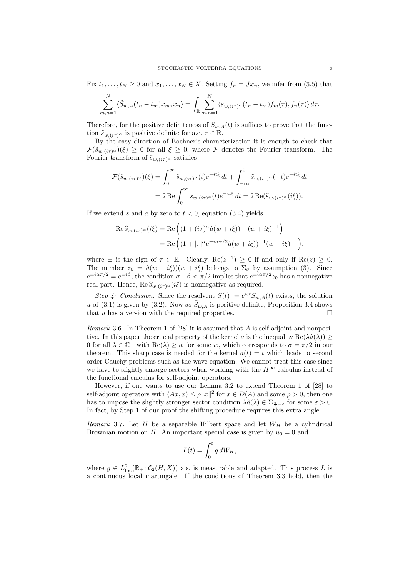Fix  $t_1, \ldots, t_N \geq 0$  and  $x_1, \ldots, x_N \in X$ . Setting  $f_n = Jx_n$ , we infer from (3.5) that

$$
\sum_{m,n=1}^N \langle \tilde{S}_{w,A}(t_n - t_m)x_m, x_n \rangle = \int_{\mathbb{R}} \sum_{m,n=1}^N \langle \tilde{s}_{w,(i\tau)^{\alpha}}(t_n - t_m)f_m(\tau), f_n(\tau) \rangle d\tau.
$$

Therefore, for the positive definiteness of  $S_{w,A}(t)$  is suffices to prove that the function  $\tilde{s}_{w,(i\tau)^{\alpha}}$  is positive definite for a.e.  $\tau \in \mathbb{R}$ .

By the easy direction of Bochner's characterization it is enough to check that  $\mathcal{F}(\tilde{s}_{w,(i\tau)^{\alpha}})(\xi) \geq 0$  for all  $\xi \geq 0$ , where  $\mathcal F$  denotes the Fourier transform. The Fourier transform of  $\tilde{s}_{w,(i\tau)}$  satisfies

$$
\mathcal{F}(\tilde{s}_{w,(i\tau)^{\alpha}})(\xi) = \int_0^{\infty} \tilde{s}_{w,(i\tau)^{\alpha}}(t)e^{-it\xi} dt + \int_{-\infty}^0 \overline{\tilde{s}_{w,(i\tau)^{\alpha}}(-t)}e^{-it\xi} dt
$$

$$
= 2 \operatorname{Re} \int_0^{\infty} s_{w,(i\tau)^{\alpha}}(t)e^{-it\xi} dt = 2 \operatorname{Re}(\hat{s}_{w,(i\tau)^{\alpha}}(i\xi)).
$$

If we extend s and a by zero to  $t < 0$ , equation (3.4) yields

$$
\operatorname{Re}\widehat{s}_{w,(i\tau)^{\alpha}}(i\xi) = \operatorname{Re}\left((1+(i\tau)^{\alpha}\widehat{a}(w+i\xi))^{-1}(w+i\xi)^{-1}\right)
$$

$$
= \operatorname{Re}\left((1+|\tau|^{\alpha}e^{\pm i\alpha\pi/2}\widehat{a}(w+i\xi))^{-1}(w+i\xi)^{-1}\right),
$$

where  $\pm$  is the sign of  $\tau \in \mathbb{R}$ . Clearly,  $\text{Re}(z^{-1}) \geq 0$  if and only if  $\text{Re}(z) \geq 0$ . The number  $z_0 = \hat{a}(w + i\xi)(w + i\xi)$  belongs to  $\Sigma_{\sigma}$  by assumption (3). Since  $e^{\pm i\alpha\pi/2} = e^{\pm i\beta}$ , the condition  $\sigma + \beta < \pi/2$  implies that  $e^{\pm i\alpha\pi/2}z_0$  has a nonnegative real part. Hence,  $\text{Re } \hat{s}_{w,(i\tau)\alpha} (i\xi)$  is nonnegative as required.

Step 4: Conclusion. Since the resolvent  $S(t) := e^{wt} S_{w,A}(t)$  exists, the solution u of (3.1) is given by (3.2). Now as  $\tilde{S}_{w,A}$  is positive definite, Proposition 3.4 shows that u has a version with the required properties.  $\Box$ 

Remark 3.6. In Theorem 1 of [28] it is assumed that A is self-adjoint and nonpositive. In this paper the crucial property of the kernel a is the inequality  $\text{Re}(\lambda \hat{a}(\lambda)) \geq$ 0 for all  $\lambda \in \mathbb{C}_+$  with  $\text{Re}(\lambda) \geq w$  for some w, which corresponds to  $\sigma = \pi/2$  in our theorem. This sharp case is needed for the kernel  $a(t) = t$  which leads to second order Cauchy problems such as the wave equation. We cannot treat this case since we have to slightly enlarge sectors when working with the  $H^{\infty}$ -calculus instead of the functional calculus for self-adjoint operators.

However, if one wants to use our Lemma 3.2 to extend Theorem 1 of [28] to self-adjoint operators with  $\langle Ax, x \rangle \leq \rho ||x||^2$  for  $x \in D(A)$  and some  $\rho > 0$ , then one has to impose the slightly stronger sector condition  $\lambda \hat{a}(\lambda) \in \sum_{\bar{z}} Z_{\bar{z}}$  for some  $\epsilon > 0$ . In fact, by Step 1 of our proof the shifting procedure requires this extra angle.

Remark 3.7. Let H be a separable Hilbert space and let  $W_H$  be a cylindrical Brownian motion on H. An important special case is given by  $u_0 = 0$  and

$$
L(t) = \int_0^t g \, dW_H,
$$

where  $g \in L^2_{loc}(\mathbb{R}_+;\mathcal{L}_2(H,X))$  a.s. is measurable and adapted. This process L is a continuous local martingale. If the conditions of Theorem 3.3 hold, then the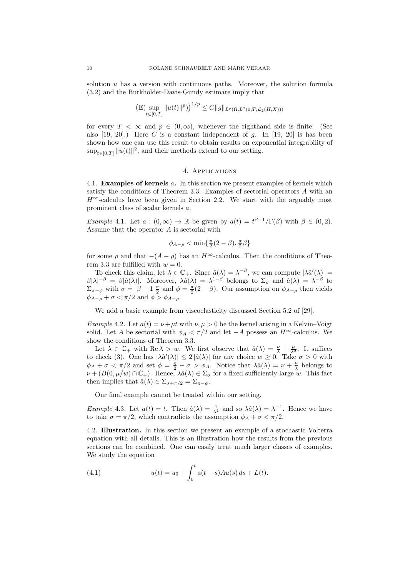solution  $u$  has a version with continuous paths. Moreover, the solution formula (3.2) and the Burkholder-Davis-Gundy estimate imply that

$$
\left(\mathbb{E}(\sup_{t\in[0,T]}\|u(t)\|^p)\right)^{1/p}\leq C\|g\|_{L^p(\Omega;L^2(0,T;\mathcal{L}_2(H,X)))}
$$

for every  $T < \infty$  and  $p \in (0, \infty)$ , whenever the righthand side is finite. (See also [19, 20].) Here C is a constant independent of q. In [19, 20] is has been shown how one can use this result to obtain results on exponential integrability of  $\sup_{t\in[0,T]}\|u(t)\|^2$ , and their methods extend to our setting.

### 4. Applications

4.1. Examples of kernels  $a$ . In this section we present examples of kernels which satisfy the conditions of Theorem 3.3. Examples of sectorial operators A with an  $H^{\infty}$ -calculus have been given in Section 2.2. We start with the arguably most prominent class of scalar kernels a.

*Example* 4.1. Let  $a:(0,\infty) \to \mathbb{R}$  be given by  $a(t) = t^{\beta-1}/\Gamma(\beta)$  with  $\beta \in (0,2)$ . Assume that the operator  $\vec{A}$  is sectorial with

$$
\phi_{A-\rho}<\min\{\tfrac{\pi}{2}(2-\beta),\tfrac{\pi}{2}\beta\}
$$

for some  $\rho$  and that  $-(A - \rho)$  has an  $H^{\infty}$ -calculus. Then the conditions of Theorem 3.3 are fulfilled with  $w = 0$ .

To check this claim, let  $\lambda \in \mathbb{C}_+$ . Since  $\hat{a}(\lambda) = \lambda^{-\beta}$ , we can compute  $|\lambda \hat{a}'(\lambda)| =$  $\beta |\lambda|^{-\beta} = \beta |\hat{a}(\lambda)|$ . Moreover,  $\lambda \hat{a}(\lambda) = \lambda^{1-\beta}$  belongs to  $\Sigma_{\sigma}$  and  $\hat{a}(\lambda) = \lambda^{-\beta}$  to  $\Sigma_{\pi-\phi}$  with  $\sigma = |\beta-1|\frac{\pi}{2}$  and  $\phi = \frac{\pi}{2}(2-\beta)$ . Our assumption on  $\phi_{A-\rho}$  then yields  $\phi_{A-\rho} + \sigma < \pi/2$  and  $\phi > \phi_{A-\rho}$ .

We add a basic example from viscoelasticity discussed Section 5.2 of [29].

Example 4.2. Let  $a(t) = \nu + \mu t$  with  $\nu, \mu > 0$  be the kernel arising in a Kelvin–Voigt solid. Let A be sectorial with  $\phi_A < \pi/2$  and let  $-A$  possess an  $H^{\infty}$ -calculus. We show the conditions of Theorem 3.3.

Let  $\lambda \in \mathbb{C}_+$  with  $\text{Re }\lambda > w$ . We first observe that  $\hat{a}(\lambda) = \frac{\nu}{\lambda} + \frac{\mu}{\lambda^2}$ . It suffices to check (3). One has  $|\lambda \hat{a}'(\lambda)| \leq 2 |\hat{a}(\lambda)|$  for any choice  $w \geq 0$ . Take  $\sigma > 0$  with  $\phi_A + \sigma < \pi/2$  and set  $\phi = \frac{\pi}{2} - \sigma > \phi_A$ . Notice that  $\lambda \hat{a}(\lambda) = \nu + \frac{\mu}{\lambda}$  belongs to  $\nu + (B(0, \mu/w) \cap \mathbb{C}_+)$ . Hence,  $\lambda \hat{a}(\lambda) \in \Sigma_{\sigma}$  for a fixed sufficiently large w. This fact then implies that  $\hat{a}(\lambda) \in \Sigma_{\sigma+\pi/2} = \Sigma_{\pi-\phi}$ .

Our final example cannot be treated within our setting.

*Example* 4.3. Let  $a(t) = t$ . Then  $\hat{a}(\lambda) = \frac{1}{\lambda^2}$  and so  $\lambda \hat{a}(\lambda) = \lambda^{-1}$ . Hence we have to take  $\sigma = \pi/2$ , which contradicts the assumption  $\phi_A + \sigma < \pi/2$ .

4.2. Illustration. In this section we present an example of a stochastic Volterra equation with all details. This is an illustration how the results from the previous sections can be combined. One can easily treat much larger classes of examples. We study the equation

(4.1) 
$$
u(t) = u_0 + \int_0^t a(t-s)Au(s) ds + L(t).
$$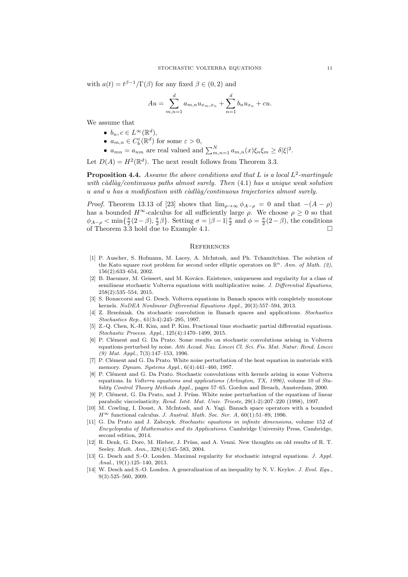with  $a(t) = t^{\beta - 1}/\Gamma(\beta)$  for any fixed  $\beta \in (0, 2)$  and

$$
Au = \sum_{m,n=1}^{d} a_{m,n} u_{x_m,x_n} + \sum_{n=1}^{d} b_n u_{x_n} + cu.
$$

We assume that

- $b_n, c \in L^{\infty}(\mathbb{R}^d)$ ,
- $a_{m,n} \in C_b^{\varepsilon}(\mathbb{R}^d)$  for some  $\varepsilon > 0$ ,
- $a_{mn} \in U_b$  ( $\infty$ ) for some  $\varepsilon > 0$ ,<br>
 $a_{mn} = a_{nm}$  are real valued and  $\sum_{m,n=1}^{N} a_{m,n}(x)\xi_n \xi_m \ge \delta |\xi|^2$ .

Let  $D(A) = H^2(\mathbb{R}^d)$ . The next result follows from Theorem 3.3.

**Proposition 4.4.** Assume the above conditions and that  $L$  is a local  $L^2$ -martingale with càdlàg/continuous paths almost surely. Then  $(4.1)$  has a unique weak solution  $u$  and  $u$  has a modification with càdlàg/continuous trajectories almost surely.

*Proof.* Theorem 13.13 of [23] shows that  $\lim_{\rho\to\infty} \phi_{A-\rho} = 0$  and that  $-(A - \rho)$ has a bounded  $H^{\infty}$ -calculus for all sufficiently large  $\rho$ . We choose  $\rho \geq 0$  so that  $\phi_{A-\rho} < \min\{\frac{\pi}{2}(2-\beta), \frac{\pi}{2}\beta\}.$  Setting  $\sigma = |\beta-1|\frac{\pi}{2}$  and  $\phi = \frac{\pi}{2}(2-\beta)$ , the conditions of Theorem 3.3 hold due to Example 4.1.

#### **REFERENCES**

- [1] P. Auscher, S. Hofmann, M. Lacey, A. McIntosh, and Ph. Tchamitchian. The solution of the Kato square root problem for second order elliptic operators on  $\mathbb{R}^n$ . Ann. of Math. (2), 156(2):633–654, 2002.
- [2] B. Baeumer, M. Geissert, and M. Kovács. Existence, uniqueness and regularity for a class of semilinear stochastic Volterra equations with multiplicative noise. J. Differential Equations, 258(2):535–554, 2015.
- [3] S. Bonaccorsi and G. Desch. Volterra equations in Banach spaces with completely monotone kernels. NoDEA Nonlinear Differential Equations Appl., 20(3):557–594, 2013.
- [4] Z. Brzeźniak. On stochastic convolution in Banach spaces and applications. Stochastics Stochastics Rep., 61(3-4):245–295, 1997.
- [5] Z.-Q. Chen, K.-H. Kim, and P. Kim. Fractional time stochastic partial differential equations. Stochastic Process. Appl., 125(4):1470–1499, 2015.
- [6] P. Clément and G. Da Prato. Some results on stochastic convolutions arising in Volterra equations perturbed by noise. Atti Accad. Naz. Lincei Cl. Sci. Fis. Mat. Natur. Rend. Lincei (9) Mat. Appl., 7(3):147–153, 1996.
- [7] P. Clément and G. Da Prato. White noise perturbation of the heat equation in materials with memory. Dynam. Systems Appl., 6(4):441-460, 1997.
- [8] P. Clément and G. Da Prato. Stochastic convolutions with kernels arising in some Volterra equations. In Volterra equations and applications (Arlington, TX, 1996), volume 10 of Stability Control Theory Methods Appl., pages 57–65. Gordon and Breach, Amsterdam, 2000.
- [9] P. Clément, G. Da Prato, and J. Prüss. White noise perturbation of the equations of linear parabolic viscoelasticity. Rend. Istit. Mat. Univ. Trieste, 29(1-2):207–220 (1998), 1997.
- [10] M. Cowling, I. Doust, A. McIntosh, and A. Yagi. Banach space operators with a bounded  $H^{\infty}$  functional calculus. J. Austral. Math. Soc. Ser. A, 60(1):51-89, 1996.
- [11] G. Da Prato and J. Zabczyk. Stochastic equations in infinite dimensions, volume 152 of Encyclopedia of Mathematics and its Applications. Cambridge University Press, Cambridge, second edition, 2014.
- [12] R. Denk, G. Dore, M. Hieber, J. Prüss, and A. Venni. New thoughts on old results of R. T. Seeley. Math. Ann., 328(4):545–583, 2004.
- [13] G. Desch and S.-O. Londen. Maximal regularity for stochastic integral equations. J. Appl. Anal., 19(1):125–140, 2013.
- [14] W. Desch and S.-O. Londen. A generalization of an inequality by N. V. Krylov. J. Evol. Equ., 9(3):525–560, 2009.